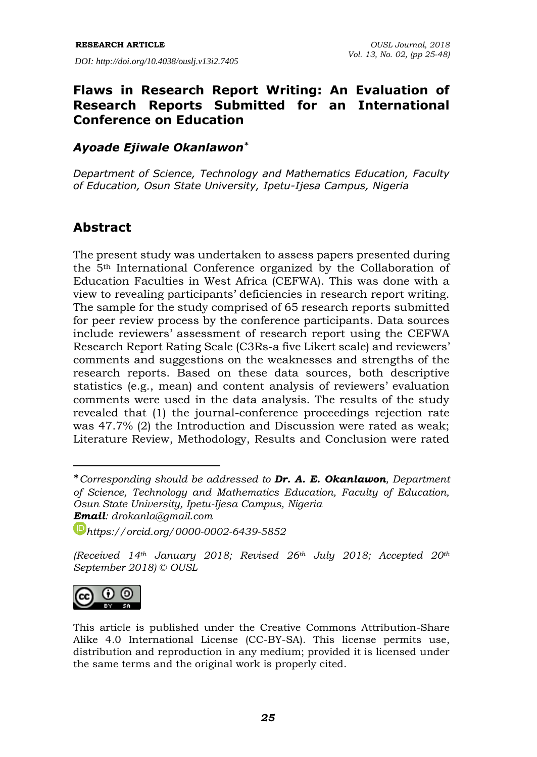*DOI: http://doi.org/10.4038/ouslj.v13i2.7405*

### **Flaws in Research Report Writing: An Evaluation of Research Reports Submitted for an International Conference on Education**

### *Ayoade Ejiwale Okanlawon\**

*Department of Science, Technology and Mathematics Education, Faculty of Education, Osun State University, Ipetu-Ijesa Campus, Nigeria*

### **Abstract**

The present study was undertaken to assess papers presented during the 5th International Conference organized by the Collaboration of Education Faculties in West Africa (CEFWA). This was done with a view to revealing participants' deficiencies in research report writing. The sample for the study comprised of 65 research reports submitted for peer review process by the conference participants. Data sources include reviewers' assessment of research report using the CEFWA Research Report Rating Scale (C3Rs-a five Likert scale) and reviewers' comments and suggestions on the weaknesses and strengths of the research reports. Based on these data sources, both descriptive statistics (e.g., mean) and content analysis of reviewers' evaluation comments were used in the data analysis. The results of the study revealed that (1) the journal-conference proceedings rejection rate was 47.7% (2) the Introduction and Discussion were rated as weak; Literature Review, Methodology, Results and Conclusion were rated

*<sup>(</sup>Received 14th January 2018; Revised 26th July 2018; Accepted 20th September 2018) © OUSL*



-

<sup>\*</sup>*Corresponding should be addressed to Dr. A. E. Okanlawon, Department of Science, Technology and Mathematics Education, Faculty of Education, Osun State University, Ipetu-Ijesa Campus, Nigeria Email: [drokanla@gmail.com](mailto:drokanla@gmail.com)*

*[https://orcid.org/0000-0002-6439-5852](https://www.google.com/url?q=https%3A%2F%2Forcid.org%2F0000-0002-6439-5852&sa=D&sntz=1&usg=AFQjCNGqGg96Zk8tpCYJms0K2c2p_ddx6w)*

This article is published under the Creative Commons Attribution-Share Alike 4.0 International License (CC-BY-SA). This license permits use, distribution and reproduction in any medium; provided it is licensed under the same terms and the original work is properly cited.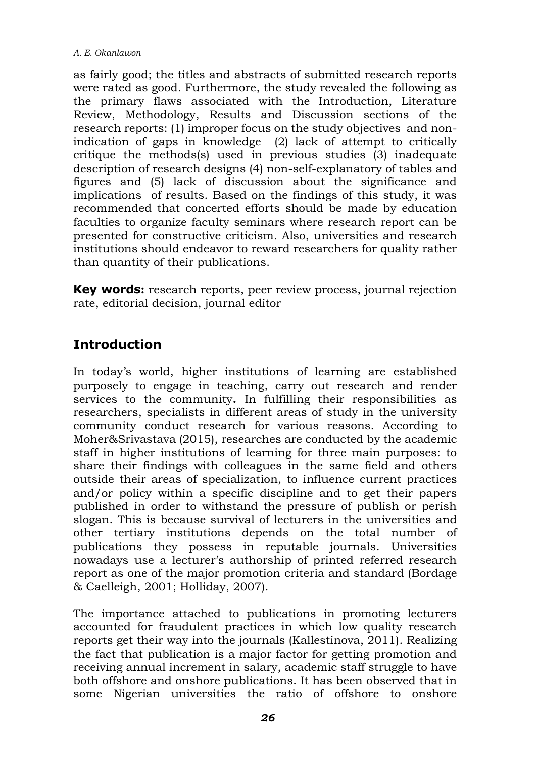as fairly good; the titles and abstracts of submitted research reports were rated as good. Furthermore, the study revealed the following as the primary flaws associated with the Introduction, Literature Review, Methodology, Results and Discussion sections of the research reports: (1) improper focus on the study objectives and nonindication of gaps in knowledge (2) lack of attempt to critically critique the methods(s) used in previous studies (3) inadequate description of research designs (4) non-self-explanatory of tables and figures and (5) lack of discussion about the significance and implications of results. Based on the findings of this study, it was recommended that concerted efforts should be made by education faculties to organize faculty seminars where research report can be presented for constructive criticism. Also, universities and research institutions should endeavor to reward researchers for quality rather than quantity of their publications.

**Key words:** research reports, peer review process, journal rejection rate, editorial decision, journal editor

## **Introduction**

In today's world, higher institutions of learning are established purposely to engage in teaching, carry out research and render services to the community**.** In fulfilling their responsibilities as researchers, specialists in different areas of study in the university community conduct research for various reasons. According to Moher&Srivastava (2015), researches are conducted by the academic staff in higher institutions of learning for three main purposes: to share their findings with colleagues in the same field and others outside their areas of specialization, to influence current practices and/or policy within a specific discipline and to get their papers published in order to withstand the pressure of publish or perish slogan. This is because survival of lecturers in the universities and other tertiary institutions depends on the total number of publications they possess in reputable journals. Universities nowadays use a lecturer's authorship of printed referred research report as one of the major promotion criteria and standard (Bordage & Caelleigh, 2001; Holliday, 2007).

The importance attached to publications in promoting lecturers accounted for fraudulent practices in which low quality research reports get their way into the journals (Kallestinova, 2011). Realizing the fact that publication is a major factor for getting promotion and receiving annual increment in salary, academic staff struggle to have both offshore and onshore publications. It has been observed that in some Nigerian universities the ratio of offshore to onshore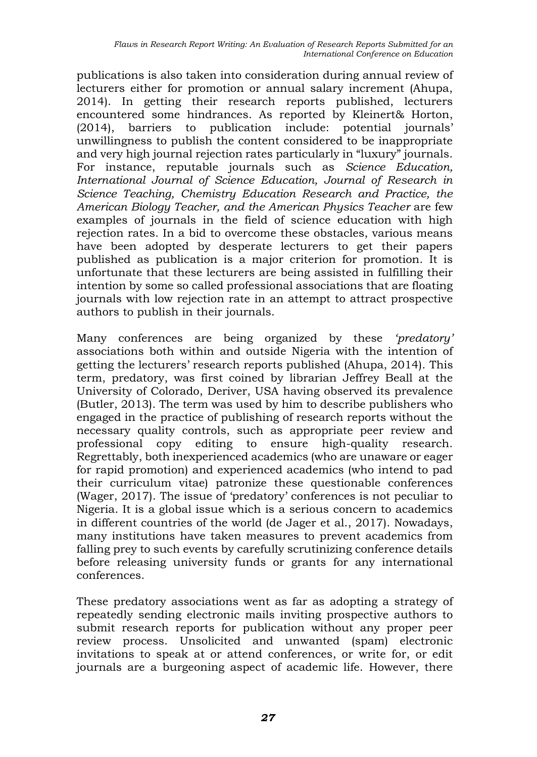publications is also taken into consideration during annual review of lecturers either for promotion or annual salary increment (Ahupa, 2014). In getting their research reports published, lecturers encountered some hindrances. As reported by Kleinert& Horton, (2014), barriers to publication include: potential journals' unwillingness to publish the content considered to be inappropriate and very high journal rejection rates particularly in "luxury" journals. For instance, reputable journals such as *Science Education, International Journal of Science Education, Journal of Research in Science Teaching, Chemistry Education Research and Practice, the American Biology Teacher, and the American Physics Teacher* are few examples of journals in the field of science education with high rejection rates. In a bid to overcome these obstacles, various means have been adopted by desperate lecturers to get their papers published as publication is a major criterion for promotion. It is unfortunate that these lecturers are being assisted in fulfilling their intention by some so called professional associations that are floating journals with low rejection rate in an attempt to attract prospective authors to publish in their journals.

Many conferences are being organized by these *'predatory'* associations both within and outside Nigeria with the intention of getting the lecturers' research reports published (Ahupa, 2014). This term, predatory, was first coined by librarian Jeffrey Beall at the University of Colorado, Deriver, USA having observed its prevalence (Butler, 2013). The term was used by him to describe publishers who engaged in the practice of publishing of research reports without the necessary quality controls, such as appropriate peer review and professional copy editing to ensure high-quality research. Regrettably, both inexperienced academics (who are unaware or eager for rapid promotion) and experienced academics (who intend to pad their curriculum vitae) patronize these questionable conferences (Wager, 2017). The issue of 'predatory' conferences is not peculiar to Nigeria. It is a global issue which is a serious concern to academics in different countries of the world (de Jager et al., 2017). Nowadays, many institutions have taken measures to prevent academics from falling prey to such events by carefully scrutinizing conference details before releasing university funds or grants for any international conferences.

These predatory associations went as far as adopting a strategy of repeatedly sending electronic mails inviting prospective authors to submit research reports for publication without any proper peer review process. Unsolicited and unwanted (spam) electronic invitations to speak at or attend conferences, or write for, or edit journals are a burgeoning aspect of academic life. However, there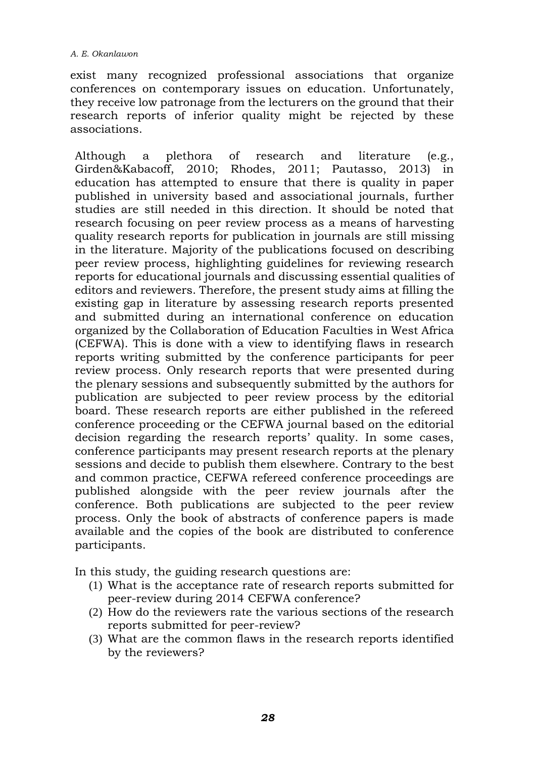#### *A. E. Okanlawon*

exist many recognized professional associations that organize conferences on contemporary issues on education. Unfortunately, they receive low patronage from the lecturers on the ground that their research reports of inferior quality might be rejected by these associations.

Although a plethora of research and literature (e.g., Girden&Kabacoff, 2010; Rhodes, 2011; Pautasso, 2013) in education has attempted to ensure that there is quality in paper published in university based and associational journals, further studies are still needed in this direction. It should be noted that research focusing on peer review process as a means of harvesting quality research reports for publication in journals are still missing in the literature. Majority of the publications focused on describing peer review process, highlighting guidelines for reviewing research reports for educational journals and discussing essential qualities of editors and reviewers. Therefore, the present study aims at filling the existing gap in literature by assessing research reports presented and submitted during an international conference on education organized by the Collaboration of Education Faculties in West Africa (CEFWA). This is done with a view to identifying flaws in research reports writing submitted by the conference participants for peer review process. Only research reports that were presented during the plenary sessions and subsequently submitted by the authors for publication are subjected to peer review process by the editorial board. These research reports are either published in the refereed conference proceeding or the CEFWA journal based on the editorial decision regarding the research reports' quality. In some cases, conference participants may present research reports at the plenary sessions and decide to publish them elsewhere. Contrary to the best and common practice, CEFWA refereed conference proceedings are published alongside with the peer review journals after the conference. Both publications are subjected to the peer review process. Only the book of abstracts of conference papers is made available and the copies of the book are distributed to conference participants.

In this study, the guiding research questions are:

- (1) What is the acceptance rate of research reports submitted for peer-review during 2014 CEFWA conference?
- (2) How do the reviewers rate the various sections of the research reports submitted for peer-review?
- (3) What are the common flaws in the research reports identified by the reviewers?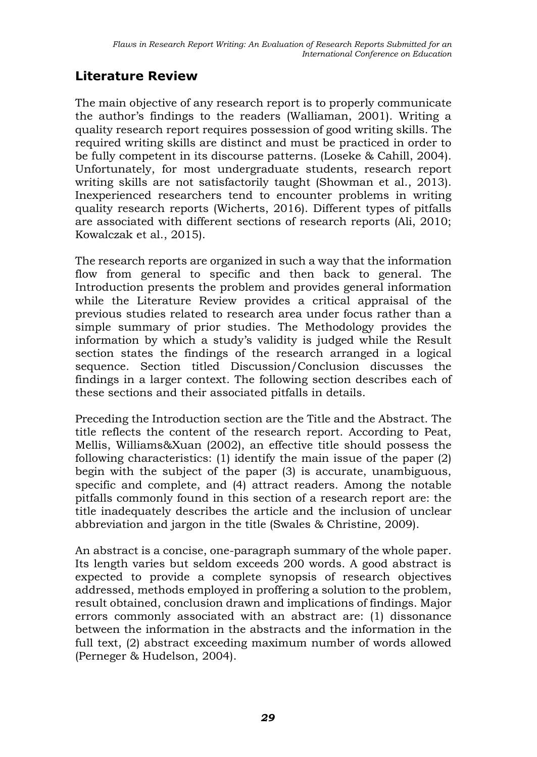## **Literature Review**

The main objective of any research report is to properly communicate the author's findings to the readers (Walliaman, 2001). Writing a quality research report requires possession of good writing skills. The required writing skills are distinct and must be practiced in order to be fully competent in its discourse patterns. (Loseke & Cahill, 2004). Unfortunately, for most undergraduate students, research report writing skills are not satisfactorily taught (Showman et al., 2013). Inexperienced researchers tend to encounter problems in writing quality research reports (Wicherts, 2016). Different types of pitfalls are associated with different sections of research reports (Ali, 2010; Kowalczak et al., 2015).

The research reports are organized in such a way that the information flow from general to specific and then back to general. The Introduction presents the problem and provides general information while the Literature Review provides a critical appraisal of the previous studies related to research area under focus rather than a simple summary of prior studies. The Methodology provides the information by which a study's validity is judged while the Result section states the findings of the research arranged in a logical sequence. Section titled Discussion/Conclusion discusses the findings in a larger context. The following section describes each of these sections and their associated pitfalls in details.

Preceding the Introduction section are the Title and the Abstract. The title reflects the content of the research report. According to Peat, Mellis, Williams&Xuan (2002), an effective title should possess the following characteristics: (1) identify the main issue of the paper (2) begin with the subject of the paper (3) is accurate, unambiguous, specific and complete, and (4) attract readers. Among the notable pitfalls commonly found in this section of a research report are: the title inadequately describes the article and the inclusion of unclear abbreviation and jargon in the title (Swales & Christine, 2009).

An abstract is a concise, one-paragraph summary of the whole paper. Its length varies but seldom exceeds 200 words. A good abstract is expected to provide a complete synopsis of research objectives addressed, methods employed in proffering a solution to the problem, result obtained, conclusion drawn and implications of findings. Major errors commonly associated with an abstract are: (1) dissonance between the information in the abstracts and the information in the full text, (2) abstract exceeding maximum number of words allowed (Perneger & Hudelson, 2004).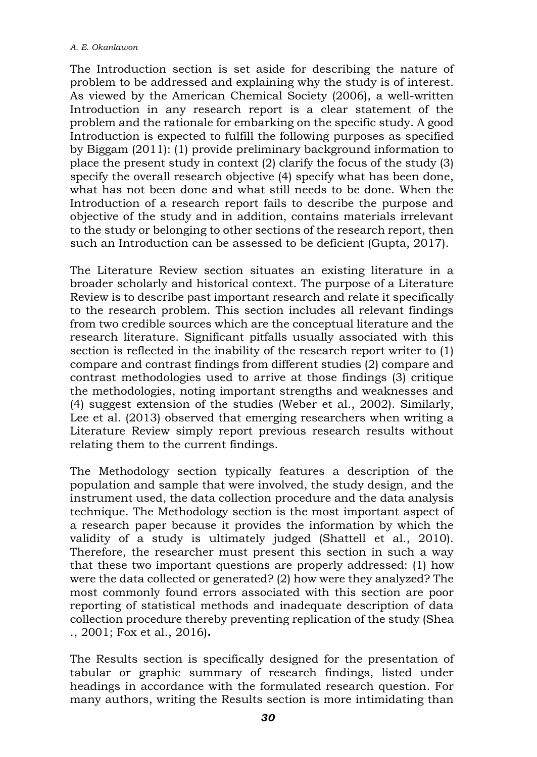The Introduction section is set aside for describing the nature of problem to be addressed and explaining why the study is of interest. As viewed by the American Chemical Society (2006), a well-written Introduction in any research report is a clear statement of the problem and the rationale for embarking on the specific study. A good Introduction is expected to fulfill the following purposes as specified by Biggam (2011): (1) provide preliminary background information to place the present study in context (2) clarify the focus of the study (3) specify the overall research objective (4) specify what has been done, what has not been done and what still needs to be done. When the Introduction of a research report fails to describe the purpose and objective of the study and in addition, contains materials irrelevant to the study or belonging to other sections of the research report, then such an Introduction can be assessed to be deficient (Gupta, 2017).

The Literature Review section situates an existing literature in a broader scholarly and historical context. The purpose of a Literature Review is to describe past important research and relate it specifically to the research problem. This section includes all relevant findings from two credible sources which are the conceptual literature and the research literature. Significant pitfalls usually associated with this section is reflected in the inability of the research report writer to (1) compare and contrast findings from different studies (2) compare and contrast methodologies used to arrive at those findings (3) critique the methodologies, noting important strengths and weaknesses and (4) suggest extension of the studies (Weber et al., 2002). Similarly, Lee et al. (2013) observed that emerging researchers when writing a Literature Review simply report previous research results without relating them to the current findings.

The Methodology section typically features a description of the population and sample that were involved, the study design, and the instrument used, the data collection procedure and the data analysis technique. The Methodology section is the most important aspect of a research paper because it provides the information by which the validity of a study is ultimately judged (Shattell et al., 2010). Therefore, the researcher must present this section in such a way that these two important questions are properly addressed: (1) how were the data collected or generated? (2) how were they analyzed? The most commonly found errors associated with this section are poor reporting of statistical methods and inadequate description of data collection procedure thereby preventing replication of the study (Shea ., 2001; Fox et al., 2016)**.**

The Results section is specifically designed for the presentation of tabular or graphic summary of research findings, listed under headings in accordance with the formulated research question. For many authors, writing the Results section is more intimidating than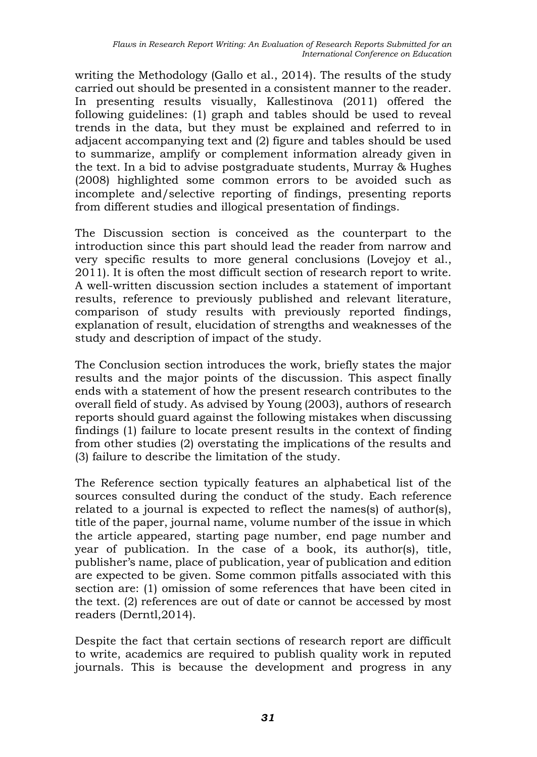writing the Methodology (Gallo et al., 2014). The results of the study carried out should be presented in a consistent manner to the reader. In presenting results visually, Kallestinova (2011) offered the following guidelines: (1) graph and tables should be used to reveal trends in the data, but they must be explained and referred to in adjacent accompanying text and (2) figure and tables should be used to summarize, amplify or complement information already given in the text. In a bid to advise postgraduate students, Murray & Hughes (2008) highlighted some common errors to be avoided such as incomplete and/selective reporting of findings, presenting reports from different studies and illogical presentation of findings.

The Discussion section is conceived as the counterpart to the introduction since this part should lead the reader from narrow and very specific results to more general conclusions (Lovejoy et al., 2011). It is often the most difficult section of research report to write. A well-written discussion section includes a statement of important results, reference to previously published and relevant literature, comparison of study results with previously reported findings, explanation of result, elucidation of strengths and weaknesses of the study and description of impact of the study.

The Conclusion section introduces the work, briefly states the major results and the major points of the discussion. This aspect finally ends with a statement of how the present research contributes to the overall field of study. As advised by Young (2003), authors of research reports should guard against the following mistakes when discussing findings (1) failure to locate present results in the context of finding from other studies (2) overstating the implications of the results and (3) failure to describe the limitation of the study.

The Reference section typically features an alphabetical list of the sources consulted during the conduct of the study. Each reference related to a journal is expected to reflect the names(s) of author(s), title of the paper, journal name, volume number of the issue in which the article appeared, starting page number, end page number and year of publication. In the case of a book, its author(s), title, publisher's name, place of publication, year of publication and edition are expected to be given. Some common pitfalls associated with this section are: (1) omission of some references that have been cited in the text. (2) references are out of date or cannot be accessed by most readers (Derntl,2014).

Despite the fact that certain sections of research report are difficult to write, academics are required to publish quality work in reputed journals. This is because the development and progress in any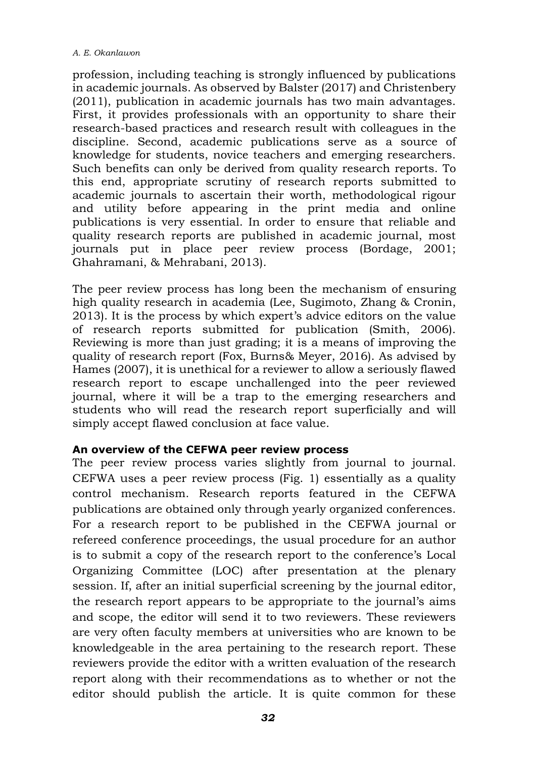profession, including teaching is strongly influenced by publications in academic journals. As observed by Balster (2017) and Christenbery (2011), publication in academic journals has two main advantages. First, it provides professionals with an opportunity to share their research-based practices and research result with colleagues in the discipline. Second, academic publications serve as a source of knowledge for students, novice teachers and emerging researchers. Such benefits can only be derived from quality research reports. To this end, appropriate scrutiny of research reports submitted to academic journals to ascertain their worth, methodological rigour and utility before appearing in the print media and online publications is very essential. In order to ensure that reliable and quality research reports are published in academic journal, most journals put in place peer review process (Bordage, 2001; Ghahramani, & Mehrabani, 2013).

The peer review process has long been the mechanism of ensuring high quality research in academia (Lee, Sugimoto, Zhang & Cronin, 2013). It is the process by which expert's advice editors on the value of research reports submitted for publication (Smith, 2006). Reviewing is more than just grading; it is a means of improving the quality of research report (Fox, Burns& Meyer, 2016). As advised by Hames (2007), it is unethical for a reviewer to allow a seriously flawed research report to escape unchallenged into the peer reviewed journal, where it will be a trap to the emerging researchers and students who will read the research report superficially and will simply accept flawed conclusion at face value.

#### **An overview of the CEFWA peer review process**

The peer review process varies slightly from journal to journal. CEFWA uses a peer review process (Fig. 1) essentially as a quality control mechanism. Research reports featured in the CEFWA publications are obtained only through yearly organized conferences. For a research report to be published in the CEFWA journal or refereed conference proceedings, the usual procedure for an author is to submit a copy of the research report to the conference's Local Organizing Committee (LOC) after presentation at the plenary session. If, after an initial superficial screening by the journal editor, the research report appears to be appropriate to the journal's aims and scope, the editor will send it to two reviewers. These reviewers are very often faculty members at universities who are known to be knowledgeable in the area pertaining to the research report. These reviewers provide the editor with a written evaluation of the research report along with their recommendations as to whether or not the editor should publish the article. It is quite common for these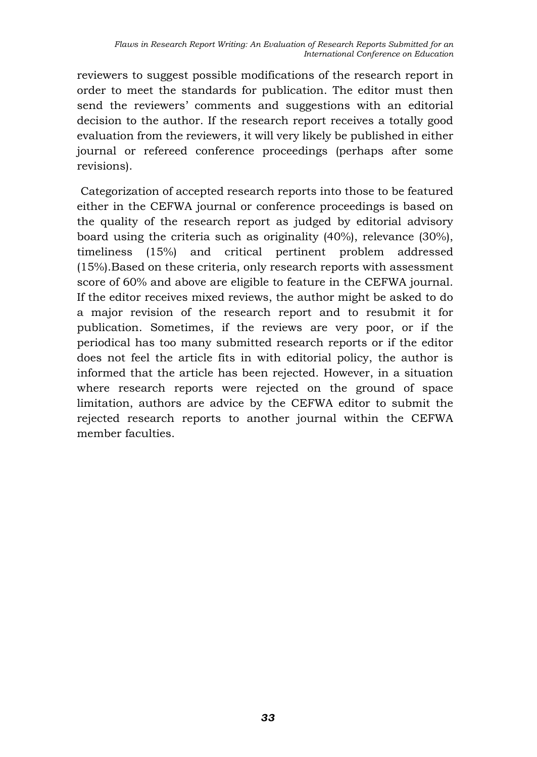reviewers to suggest possible modifications of the research report in order to meet the standards for publication. The editor must then send the reviewers' comments and suggestions with an editorial decision to the author. If the research report receives a totally good evaluation from the reviewers, it will very likely be published in either journal or refereed conference proceedings (perhaps after some revisions).

Categorization of accepted research reports into those to be featured either in the CEFWA journal or conference proceedings is based on the quality of the research report as judged by editorial advisory board using the criteria such as originality (40%), relevance (30%), timeliness (15%) and critical pertinent problem addressed (15%).Based on these criteria, only research reports with assessment score of 60% and above are eligible to feature in the CEFWA journal. If the editor receives mixed reviews, the author might be asked to do a major revision of the research report and to resubmit it for publication. Sometimes, if the reviews are very poor, or if the periodical has too many submitted research reports or if the editor does not feel the article fits in with editorial policy, the author is informed that the article has been rejected. However, in a situation where research reports were rejected on the ground of space limitation, authors are advice by the CEFWA editor to submit the rejected research reports to another journal within the CEFWA member faculties.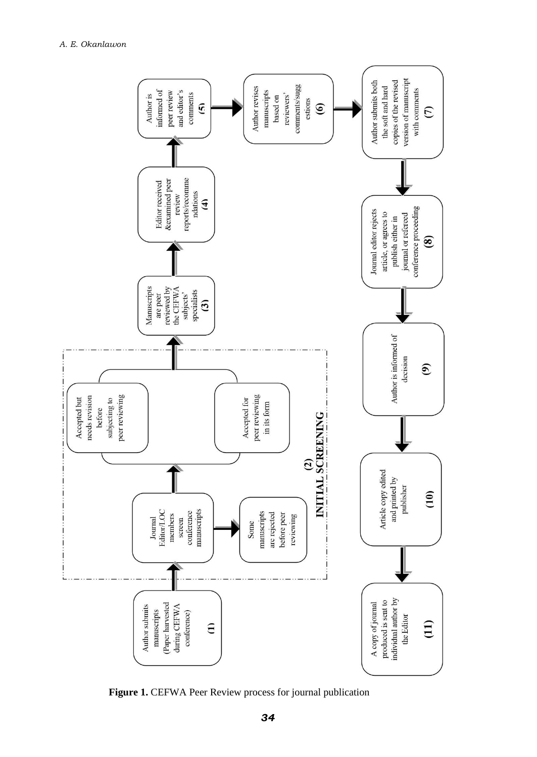

**Figure 1.** CEFWA Peer Review process for journal publication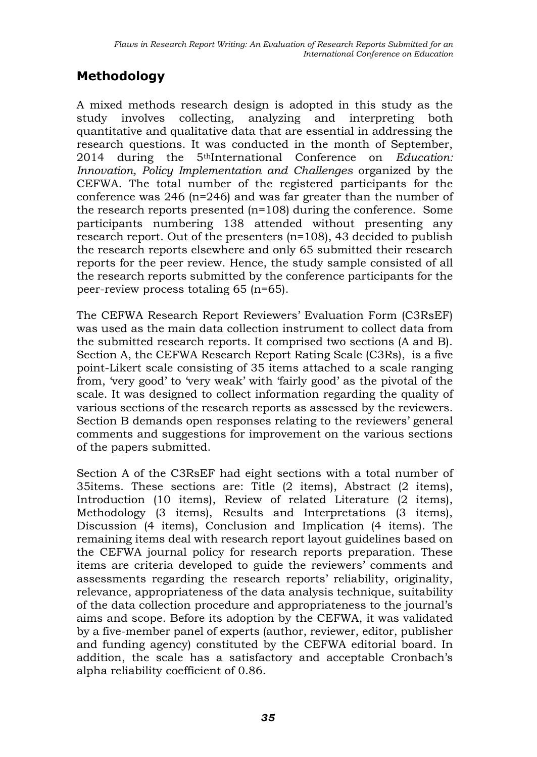# **Methodology**

A mixed methods research design is adopted in this study as the study involves collecting, analyzing and interpreting both quantitative and qualitative data that are essential in addressing the research questions. It was conducted in the month of September, 2014 during the 5thInternational Conference on *Education: Innovation, Policy Implementation and Challenges* organized by the CEFWA. The total number of the registered participants for the conference was 246 (n=246) and was far greater than the number of the research reports presented (n=108) during the conference. Some participants numbering 138 attended without presenting any research report. Out of the presenters (n=108), 43 decided to publish the research reports elsewhere and only 65 submitted their research reports for the peer review. Hence, the study sample consisted of all the research reports submitted by the conference participants for the peer-review process totaling 65 (n=65).

The CEFWA Research Report Reviewers' Evaluation Form (C3RsEF) was used as the main data collection instrument to collect data from the submitted research reports. It comprised two sections (A and B). Section A, the CEFWA Research Report Rating Scale (C3Rs), is a five point-Likert scale consisting of 35 items attached to a scale ranging from, 'very good' to 'very weak' with 'fairly good' as the pivotal of the scale. It was designed to collect information regarding the quality of various sections of the research reports as assessed by the reviewers. Section B demands open responses relating to the reviewers' general comments and suggestions for improvement on the various sections of the papers submitted.

Section A of the C3RsEF had eight sections with a total number of 35items. These sections are: Title (2 items), Abstract (2 items), Introduction (10 items), Review of related Literature (2 items), Methodology (3 items), Results and Interpretations (3 items), Discussion (4 items), Conclusion and Implication (4 items). The remaining items deal with research report layout guidelines based on the CEFWA journal policy for research reports preparation. These items are criteria developed to guide the reviewers' comments and assessments regarding the research reports' reliability, originality, relevance, appropriateness of the data analysis technique, suitability of the data collection procedure and appropriateness to the journal's aims and scope. Before its adoption by the CEFWA, it was validated by a five-member panel of experts (author, reviewer, editor, publisher and funding agency) constituted by the CEFWA editorial board. In addition, the scale has a satisfactory and acceptable Cronbach's alpha reliability coefficient of 0.86.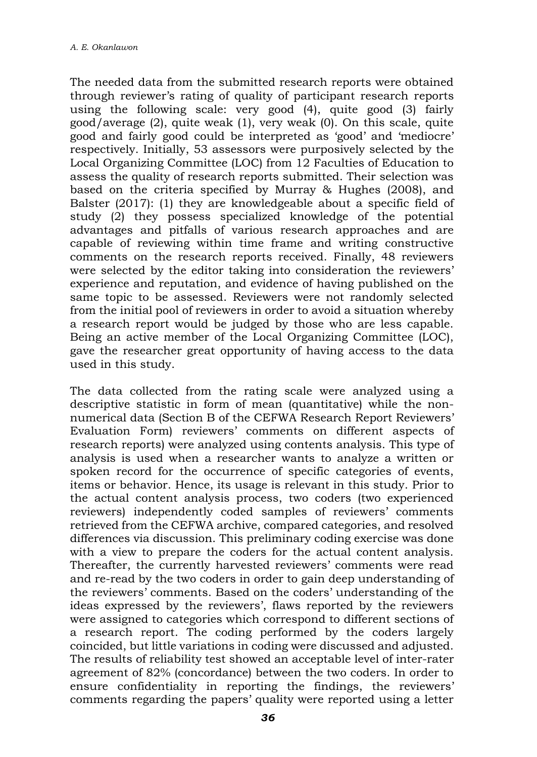The needed data from the submitted research reports were obtained through reviewer's rating of quality of participant research reports using the following scale: very good (4), quite good (3) fairly good/average (2), quite weak (1), very weak (0). On this scale, quite good and fairly good could be interpreted as 'good' and 'mediocre' respectively. Initially, 53 assessors were purposively selected by the Local Organizing Committee (LOC) from 12 Faculties of Education to assess the quality of research reports submitted. Their selection was based on the criteria specified by Murray & Hughes (2008), and Balster (2017): (1) they are knowledgeable about a specific field of study (2) they possess specialized knowledge of the potential advantages and pitfalls of various research approaches and are capable of reviewing within time frame and writing constructive comments on the research reports received. Finally, 48 reviewers were selected by the editor taking into consideration the reviewers' experience and reputation, and evidence of having published on the same topic to be assessed. Reviewers were not randomly selected from the initial pool of reviewers in order to avoid a situation whereby a research report would be judged by those who are less capable. Being an active member of the Local Organizing Committee (LOC), gave the researcher great opportunity of having access to the data used in this study.

The data collected from the rating scale were analyzed using a descriptive statistic in form of mean (quantitative) while the nonnumerical data (Section B of the CEFWA Research Report Reviewers' Evaluation Form) reviewers' comments on different aspects of research reports) were analyzed using contents analysis. This type of analysis is used when a researcher wants to analyze a written or spoken record for the occurrence of specific categories of events, items or behavior. Hence, its usage is relevant in this study. Prior to the actual content analysis process, two coders (two experienced reviewers) independently coded samples of reviewers' comments retrieved from the CEFWA archive, compared categories, and resolved differences via discussion. This preliminary coding exercise was done with a view to prepare the coders for the actual content analysis. Thereafter, the currently harvested reviewers' comments were read and re-read by the two coders in order to gain deep understanding of the reviewers' comments. Based on the coders' understanding of the ideas expressed by the reviewers', flaws reported by the reviewers were assigned to categories which correspond to different sections of a research report. The coding performed by the coders largely coincided, but little variations in coding were discussed and adjusted. The results of reliability test showed an acceptable level of inter-rater agreement of 82% (concordance) between the two coders. In order to ensure confidentiality in reporting the findings, the reviewers' comments regarding the papers' quality were reported using a letter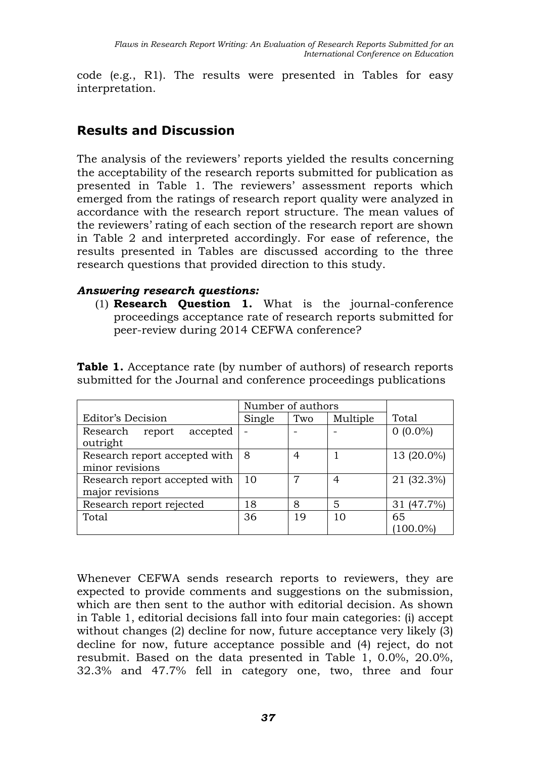code (e.g., R1). The results were presented in Tables for easy interpretation.

## **Results and Discussion**

The analysis of the reviewers' reports yielded the results concerning the acceptability of the research reports submitted for publication as presented in Table 1. The reviewers' assessment reports which emerged from the ratings of research report quality were analyzed in accordance with the research report structure. The mean values of the reviewers' rating of each section of the research report are shown in Table 2 and interpreted accordingly. For ease of reference, the results presented in Tables are discussed according to the three research questions that provided direction to this study.

#### *Answering research questions:*

(1) **Research Question 1.** What is the journal-conference proceedings acceptance rate of research reports submitted for peer-review during 2014 CEFWA conference?

| <b>Table 1.</b> Acceptance rate (by number of authors) of research reports |  |  |  |
|----------------------------------------------------------------------------|--|--|--|
| submitted for the Journal and conference proceedings publications          |  |  |  |

|                                | Number of authors |     |          |            |
|--------------------------------|-------------------|-----|----------|------------|
| Editor's Decision              | Single            | Two | Multiple | Total      |
| Research<br>accepted<br>report |                   |     |          | $0(0.0\%)$ |
| outright                       |                   |     |          |            |
| Research report accepted with  | 8                 | 4   |          | 13 (20.0%) |
| minor revisions                |                   |     |          |            |
| Research report accepted with  | 10                | 7   | 4        | 21 (32.3%) |
| major revisions                |                   |     |          |            |
| Research report rejected       | 18                | 8   | 5        | 31 (47.7%) |
| Total                          | 36                | 19  | 10       | 65         |
|                                |                   |     |          | 100.0%     |

Whenever CEFWA sends research reports to reviewers, they are expected to provide comments and suggestions on the submission, which are then sent to the author with editorial decision. As shown in Table 1, editorial decisions fall into four main categories: (i) accept without changes (2) decline for now, future acceptance very likely (3) decline for now, future acceptance possible and (4) reject, do not resubmit. Based on the data presented in Table 1, 0.0%, 20.0%, 32.3% and 47.7% fell in category one, two, three and four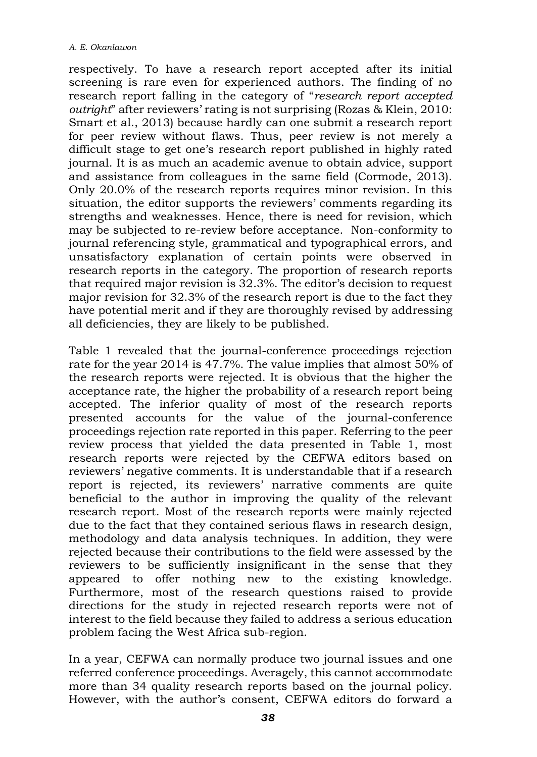respectively. To have a research report accepted after its initial screening is rare even for experienced authors. The finding of no research report falling in the category of "*research report accepted outright*" after reviewers' rating is not surprising (Rozas & Klein, 2010: Smart et al., 2013) because hardly can one submit a research report for peer review without flaws. Thus, peer review is not merely a difficult stage to get one's research report published in highly rated journal. It is as much an academic avenue to obtain advice, support and assistance from colleagues in the same field (Cormode, 2013). Only 20.0% of the research reports requires minor revision. In this situation, the editor supports the reviewers' comments regarding its strengths and weaknesses. Hence, there is need for revision, which may be subjected to re-review before acceptance. Non-conformity to journal referencing style, grammatical and typographical errors, and unsatisfactory explanation of certain points were observed in research reports in the category. The proportion of research reports that required major revision is 32.3%. The editor's decision to request major revision for 32.3% of the research report is due to the fact they have potential merit and if they are thoroughly revised by addressing all deficiencies, they are likely to be published.

Table 1 revealed that the journal-conference proceedings rejection rate for the year 2014 is 47.7%. The value implies that almost 50% of the research reports were rejected. It is obvious that the higher the acceptance rate, the higher the probability of a research report being accepted. The inferior quality of most of the research reports presented accounts for the value of the journal-conference proceedings rejection rate reported in this paper. Referring to the peer review process that yielded the data presented in Table 1, most research reports were rejected by the CEFWA editors based on reviewers' negative comments. It is understandable that if a research report is rejected, its reviewers' narrative comments are quite beneficial to the author in improving the quality of the relevant research report. Most of the research reports were mainly rejected due to the fact that they contained serious flaws in research design, methodology and data analysis techniques. In addition, they were rejected because their contributions to the field were assessed by the reviewers to be sufficiently insignificant in the sense that they appeared to offer nothing new to the existing knowledge. Furthermore, most of the research questions raised to provide directions for the study in rejected research reports were not of interest to the field because they failed to address a serious education problem facing the West Africa sub-region.

In a year, CEFWA can normally produce two journal issues and one referred conference proceedings. Averagely, this cannot accommodate more than 34 quality research reports based on the journal policy. However, with the author's consent, CEFWA editors do forward a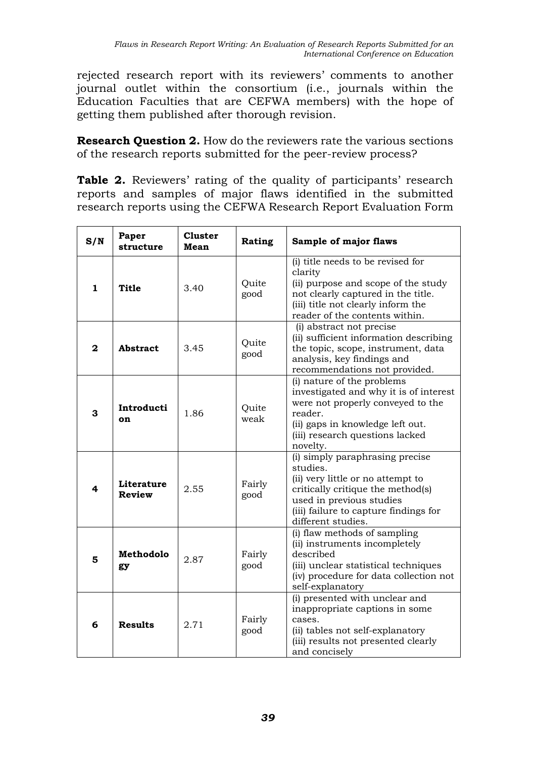rejected research report with its reviewers' comments to another journal outlet within the consortium (i.e., journals within the Education Faculties that are CEFWA members) with the hope of getting them published after thorough revision.

**Research Question 2.** How do the reviewers rate the various sections of the research reports submitted for the peer-review process?

**Table 2.** Reviewers' rating of the quality of participants' research reports and samples of major flaws identified in the submitted research reports using the CEFWA Research Report Evaluation Form

| S/N          | Paper<br>structure   | <b>Cluster</b><br>Mean | Rating         | Sample of major flaws                                                                                                                                                                                            |  |
|--------------|----------------------|------------------------|----------------|------------------------------------------------------------------------------------------------------------------------------------------------------------------------------------------------------------------|--|
| 1            | Title                | 3.40                   | Quite<br>good  | (i) title needs to be revised for<br>clarity<br>(ii) purpose and scope of the study<br>not clearly captured in the title.<br>(iii) title not clearly inform the<br>reader of the contents within.                |  |
| $\mathbf{z}$ | Abstract             | 3.45                   | Ouite<br>good  | (i) abstract not precise<br>(ii) sufficient information describing<br>the topic, scope, instrument, data<br>analysis, key findings and<br>recommendations not provided.                                          |  |
| 3            | Introducti<br>on     | 1.86                   | Quite<br>weak  | (i) nature of the problems<br>investigated and why it is of interest<br>were not properly conveyed to the<br>reader.<br>(ii) gaps in knowledge left out.<br>(iii) research questions lacked<br>novelty.          |  |
| 4            | Literature<br>Review | 2.55                   | Fairly<br>good | (i) simply paraphrasing precise<br>studies.<br>(ii) very little or no attempt to<br>critically critique the method(s)<br>used in previous studies<br>(iii) failure to capture findings for<br>different studies. |  |
| 5            | Methodolo<br>gy      | 2.87                   | Fairly<br>good | (i) flaw methods of sampling<br>(ii) instruments incompletely<br>described<br>(iii) unclear statistical techniques<br>(iv) procedure for data collection not<br>self-explanatory                                 |  |
| 6            | <b>Results</b>       | 2.71                   | Fairly<br>good | (i) presented with unclear and<br>inappropriate captions in some<br>cases.<br>(ii) tables not self-explanatory<br>(iii) results not presented clearly<br>and concisely                                           |  |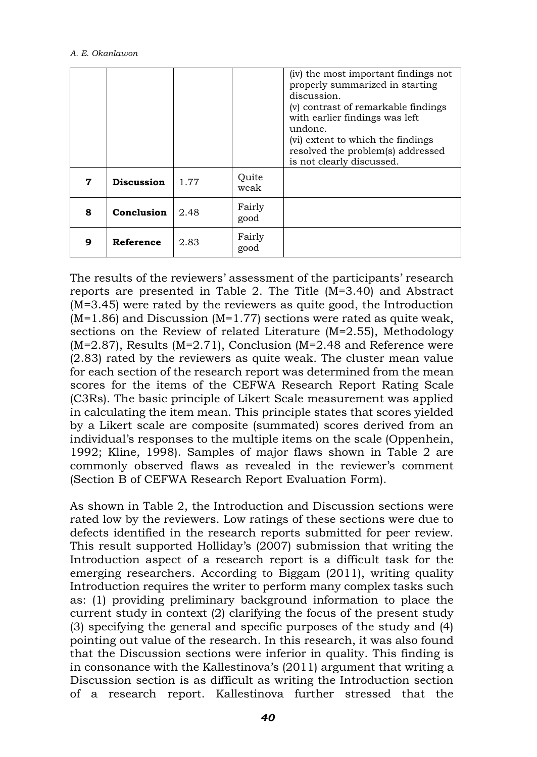|   |                   |      |                | (iv) the most important findings not<br>properly summarized in starting<br>discussion.<br>(v) contrast of remarkable findings<br>with earlier findings was left<br>undone.<br>(vi) extent to which the findings<br>resolved the problem(s) addressed<br>is not clearly discussed. |
|---|-------------------|------|----------------|-----------------------------------------------------------------------------------------------------------------------------------------------------------------------------------------------------------------------------------------------------------------------------------|
| 7 | <b>Discussion</b> | 1.77 | Quite<br>weak  |                                                                                                                                                                                                                                                                                   |
| 8 | Conclusion        | 2.48 | Fairly<br>good |                                                                                                                                                                                                                                                                                   |
| 9 | Reference         | 2.83 | Fairly<br>good |                                                                                                                                                                                                                                                                                   |

The results of the reviewers' assessment of the participants' research reports are presented in Table 2. The Title (M=3.40) and Abstract (M=3.45) were rated by the reviewers as quite good, the Introduction  $(M=1.86)$  and Discussion  $(M=1.77)$  sections were rated as quite weak, sections on the Review of related Literature (M=2.55), Methodology  $(M=2.87)$ , Results  $(M=2.71)$ , Conclusion  $(M=2.48$  and Reference were (2.83) rated by the reviewers as quite weak. The cluster mean value for each section of the research report was determined from the mean scores for the items of the CEFWA Research Report Rating Scale (C3Rs). The basic principle of Likert Scale measurement was applied in calculating the item mean. This principle states that scores yielded by a Likert scale are composite (summated) scores derived from an individual's responses to the multiple items on the scale (Oppenhein, 1992; Kline, 1998). Samples of major flaws shown in Table 2 are commonly observed flaws as revealed in the reviewer's comment (Section B of CEFWA Research Report Evaluation Form).

As shown in Table 2, the Introduction and Discussion sections were rated low by the reviewers. Low ratings of these sections were due to defects identified in the research reports submitted for peer review. This result supported Holliday's (2007) submission that writing the Introduction aspect of a research report is a difficult task for the emerging researchers. According to Biggam (2011), writing quality Introduction requires the writer to perform many complex tasks such as: (1) providing preliminary background information to place the current study in context (2) clarifying the focus of the present study (3) specifying the general and specific purposes of the study and (4) pointing out value of the research. In this research, it was also found that the Discussion sections were inferior in quality. This finding is in consonance with the Kallestinova's (2011) argument that writing a Discussion section is as difficult as writing the Introduction section of a research report. Kallestinova further stressed that the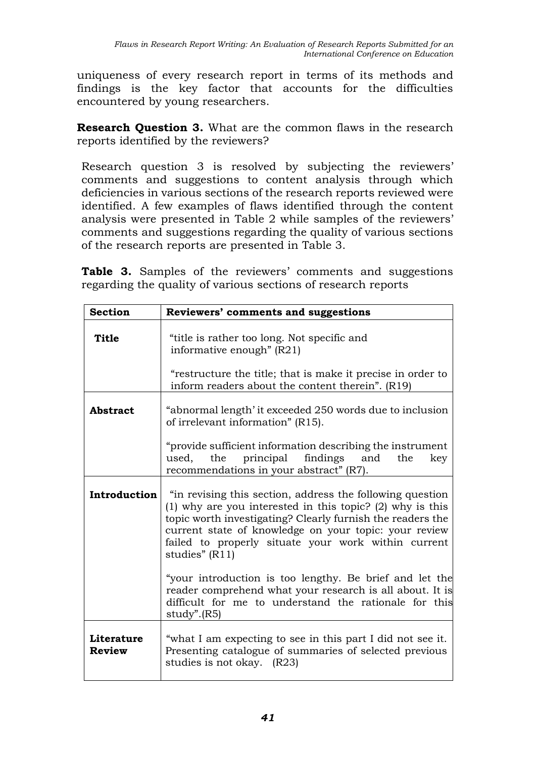uniqueness of every research report in terms of its methods and findings is the key factor that accounts for the difficulties encountered by young researchers.

**Research Question 3.** What are the common flaws in the research reports identified by the reviewers?

Research question 3 is resolved by subjecting the reviewers' comments and suggestions to content analysis through which deficiencies in various sections of the research reports reviewed were identified. A few examples of flaws identified through the content analysis were presented in Table 2 while samples of the reviewers' comments and suggestions regarding the quality of various sections of the research reports are presented in Table 3.

**Table 3.** Samples of the reviewers' comments and suggestions regarding the quality of various sections of research reports

| <b>Section</b>              | Reviewers' comments and suggestions                                                                                                                                                                                                                                                                                        |
|-----------------------------|----------------------------------------------------------------------------------------------------------------------------------------------------------------------------------------------------------------------------------------------------------------------------------------------------------------------------|
| Title                       | "title is rather too long. Not specific and<br>informative enough" $(R21)$                                                                                                                                                                                                                                                 |
|                             | "restructure the title; that is make it precise in order to<br>inform readers about the content therein". (R19)                                                                                                                                                                                                            |
| <b>Abstract</b>             | "abnormal length' it exceeded 250 words due to inclusion<br>of irrelevant information" (R15).                                                                                                                                                                                                                              |
|                             | "provide sufficient information describing the instrument<br>used, the principal findings and<br>the<br>key<br>recommendations in your abstract" (R7).                                                                                                                                                                     |
| Introduction                | "in revising this section, address the following question<br>$(1)$ why are you interested in this topic? $(2)$ why is this<br>topic worth investigating? Clearly furnish the readers the<br>current state of knowledge on your topic: your review<br>failed to properly situate your work within current<br>studies" (R11) |
|                             | "your introduction is too lengthy. Be brief and let the<br>reader comprehend what your research is all about. It is<br>difficult for me to understand the rationale for this<br>$study$ ". $(R5)$                                                                                                                          |
| Literature<br><b>Review</b> | "what I am expecting to see in this part I did not see it.<br>Presenting catalogue of summaries of selected previous<br>studies is not okay. (R23)                                                                                                                                                                         |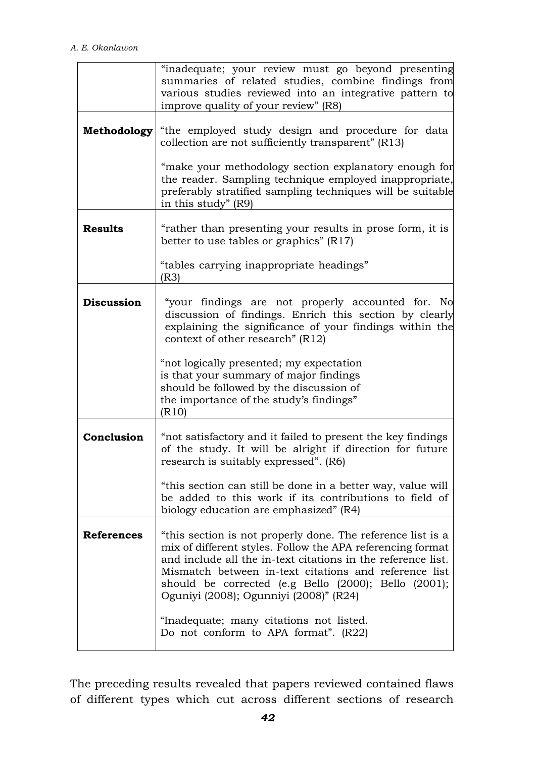|                   | "inadequate; your review must go beyond presenting<br>summaries of related studies, combine findings from<br>various studies reviewed into an integrative pattern to<br>improve quality of your review" (R8)                                                                                                                                         |
|-------------------|------------------------------------------------------------------------------------------------------------------------------------------------------------------------------------------------------------------------------------------------------------------------------------------------------------------------------------------------------|
| Methodology       | "the employed study design and procedure for data<br>collection are not sufficiently transparent" (R13)                                                                                                                                                                                                                                              |
|                   | "make your methodology section explanatory enough for<br>the reader. Sampling technique employed inappropriate,<br>preferably stratified sampling techniques will be suitable<br>in this study" (R9)                                                                                                                                                 |
| <b>Results</b>    | "rather than presenting your results in prose form, it is<br>better to use tables or graphics" $(R17)$                                                                                                                                                                                                                                               |
|                   | "tables carrying inappropriate headings"<br>(R3)                                                                                                                                                                                                                                                                                                     |
| <b>Discussion</b> | "your findings are not properly accounted for. No<br>discussion of findings. Enrich this section by clearly<br>explaining the significance of your findings within the<br>context of other research" (R12)                                                                                                                                           |
|                   | "not logically presented; my expectation<br>is that your summary of major findings<br>should be followed by the discussion of<br>the importance of the study's findings"<br>(R10)                                                                                                                                                                    |
| Conclusion        | "not satisfactory and it failed to present the key findings<br>of the study. It will be alright if direction for future<br>research is suitably expressed". (R6)                                                                                                                                                                                     |
|                   | "this section can still be done in a better way, value will<br>be added to this work if its contributions to field of<br>biology education are emphasized" (R4)                                                                                                                                                                                      |
| <b>References</b> | "this section is not properly done. The reference list is a<br>mix of different styles. Follow the APA referencing format<br>and include all the in-text citations in the reference list.<br>Mismatch between in-text citations and reference list<br>should be corrected (e.g Bello (2000); Bello (2001);<br>Oguniyi (2008); Ogunniyi (2008)" (R24) |
|                   | "Inadequate; many citations not listed.<br>Do not conform to APA format". (R22)                                                                                                                                                                                                                                                                      |

The preceding results revealed that papers reviewed contained flaws of different types which cut across different sections of research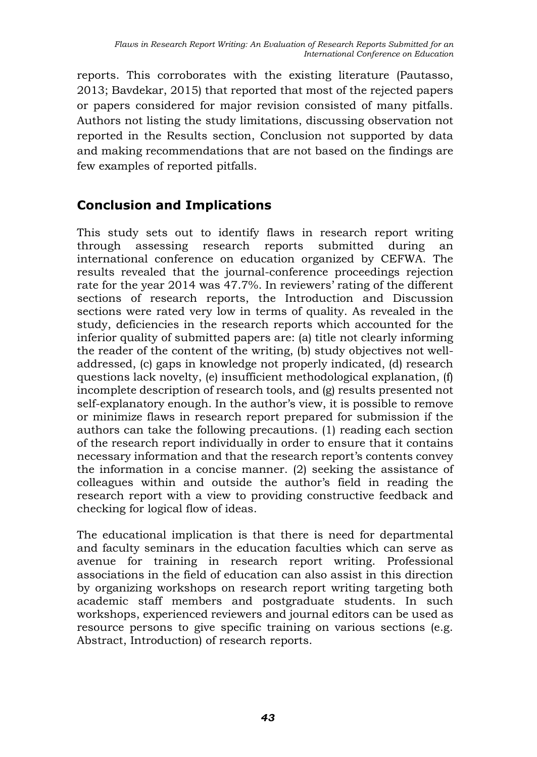reports. This corroborates with the existing literature (Pautasso, 2013; Bavdekar, 2015) that reported that most of the rejected papers or papers considered for major revision consisted of many pitfalls. Authors not listing the study limitations, discussing observation not reported in the Results section, Conclusion not supported by data and making recommendations that are not based on the findings are few examples of reported pitfalls.

### **Conclusion and Implications**

This study sets out to identify flaws in research report writing through assessing research reports submitted during an international conference on education organized by CEFWA. The results revealed that the journal-conference proceedings rejection rate for the year 2014 was 47.7%. In reviewers' rating of the different sections of research reports, the Introduction and Discussion sections were rated very low in terms of quality. As revealed in the study, deficiencies in the research reports which accounted for the inferior quality of submitted papers are: (a) title not clearly informing the reader of the content of the writing, (b) study objectives not welladdressed, (c) gaps in knowledge not properly indicated, (d) research questions lack novelty, (e) insufficient methodological explanation, (f) incomplete description of research tools, and (g) results presented not self-explanatory enough. In the author's view, it is possible to remove or minimize flaws in research report prepared for submission if the authors can take the following precautions. (1) reading each section of the research report individually in order to ensure that it contains necessary information and that the research report's contents convey the information in a concise manner. (2) seeking the assistance of colleagues within and outside the author's field in reading the research report with a view to providing constructive feedback and checking for logical flow of ideas.

The educational implication is that there is need for departmental and faculty seminars in the education faculties which can serve as avenue for training in research report writing. Professional associations in the field of education can also assist in this direction by organizing workshops on research report writing targeting both academic staff members and postgraduate students. In such workshops, experienced reviewers and journal editors can be used as resource persons to give specific training on various sections (e.g. Abstract, Introduction) of research reports.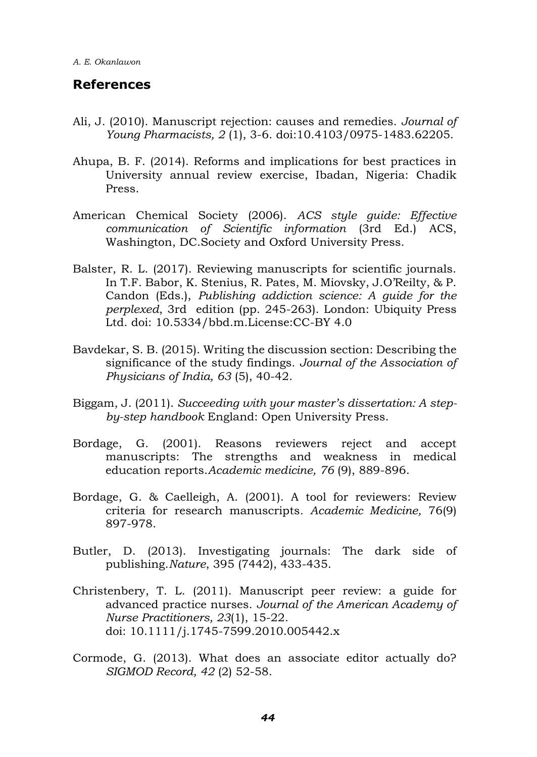### **References**

- Ali, J. (2010). Manuscript rejection: causes and remedies. *Journal of Young Pharmacists, 2* (1), 3-6. doi:10.4103/0975-1483.62205.
- Ahupa, B. F. (2014). Reforms and implications for best practices in University annual review exercise, Ibadan, Nigeria: Chadik Press.
- American Chemical Society (2006). *ACS style guide: Effective communication of Scientific information* (3rd Ed.) ACS, Washington, DC.Society and Oxford University Press.
- Balster, R. L. (2017). Reviewing manuscripts for scientific journals. In T.F. Babor, K. Stenius, R. Pates, M. Miovsky, J.O'Reilty, & P. Candon (Eds.), *Publishing addiction science: A guide for the perplexed*, 3rd edition (pp. 245-263). London: Ubiquity Press Ltd. doi: 10.5334/bbd.m.License:CC-BY 4.0
- Bavdekar, S. B. (2015). Writing the discussion section: Describing the significance of the study findings. *Journal of the Association of Physicians of India, 63* (5), 40-42.
- Biggam, J. (2011). *Succeeding with your master's dissertation: A stepby-step handbook* England: Open University Press.
- Bordage, G. (2001). Reasons reviewers reject and accept manuscripts: The strengths and weakness in medical education reports.*Academic medicine, 76* (9), 889-896.
- Bordage, G. & Caelleigh, A. (2001). A tool for reviewers: Review criteria for research manuscripts*. Academic Medicine,* 76(9) 897-978.
- Butler, D. (2013). Investigating journals: The dark side of publishing.*Nature*, 395 (7442), 433-435.
- Christenbery, T. L. (2011). Manuscript peer review: a guide for advanced practice nurses. *Journal of the American Academy of Nurse Practitioners, 23*(1), 15-22. doi: 10.1111/j.1745-7599.2010.005442.x
- Cormode, G. (2013). What does an associate editor actually do? *SIGMOD Record, 42* (2) 52-58.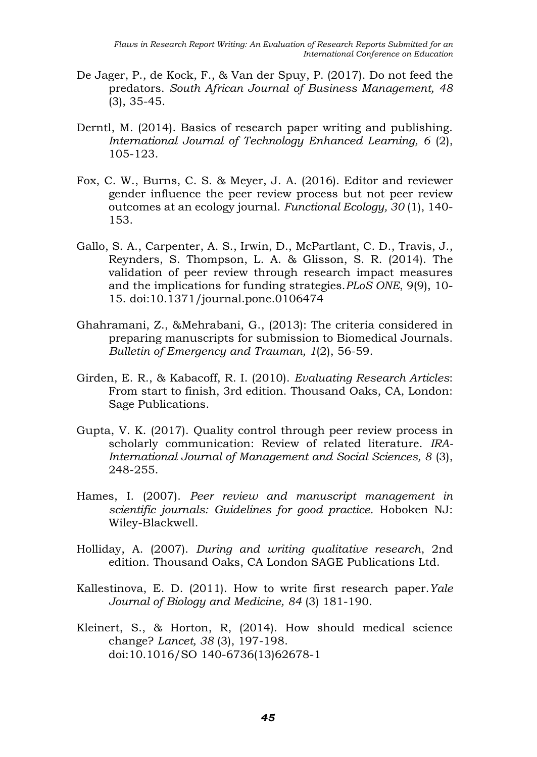- De Jager, P., de Kock, F., & Van der Spuy, P. (2017). Do not feed the predators. *South African Journal of Business Management, 48* (3), 35-45.
- Derntl, M. (2014). Basics of research paper writing and publishing. *International Journal of Technology Enhanced Learning, 6* (2), 105-123.
- Fox, C. W., Burns, C. S. & Meyer, J. A. (2016). Editor and reviewer gender influence the peer review process but not peer review outcomes at an ecology journal. *Functional Ecology, 30* (1), 140- 153.
- Gallo, S. A., Carpenter, A. S., Irwin, D., McPartlant, C. D., Travis, J., Reynders, S. Thompson, L. A. & Glisson, S. R. (2014). The validation of peer review through research impact measures and the implications for funding strategies.*PLoS ONE*, 9(9), 10- 15. doi:10.1371/journal.pone.0106474
- Ghahramani, Z., &Mehrabani, G., (2013): The criteria considered in preparing manuscripts for submission to Biomedical Journals. *Bulletin of Emergency and Trauman, 1*(2), 56-59.
- Girden, E. R., & Kabacoff, R. I. (2010). *Evaluating Research Articles*: From start to finish, 3rd edition. Thousand Oaks, CA, London: Sage Publications.
- Gupta, V. K. (2017). Quality control through peer review process in scholarly communication: Review of related literature. *IRA-International Journal of Management and Social Sciences, 8* (3), 248-255.
- Hames, I. (2007). *Peer review and manuscript management in scientific journals: Guidelines for good practice.* Hoboken NJ: Wiley-Blackwell.
- Holliday, A. (2007). *During and writing qualitative research*, 2nd edition. Thousand Oaks, CA London SAGE Publications Ltd.
- Kallestinova, E. D. (2011). How to write first research paper.*Yale Journal of Biology and Medicine, 84* (3) 181-190.
- Kleinert, S., & Horton, R, (2014). How should medical science change? *Lancet, 38* (3), 197-198. doi:10.1016/SO 140-6736(13)62678-1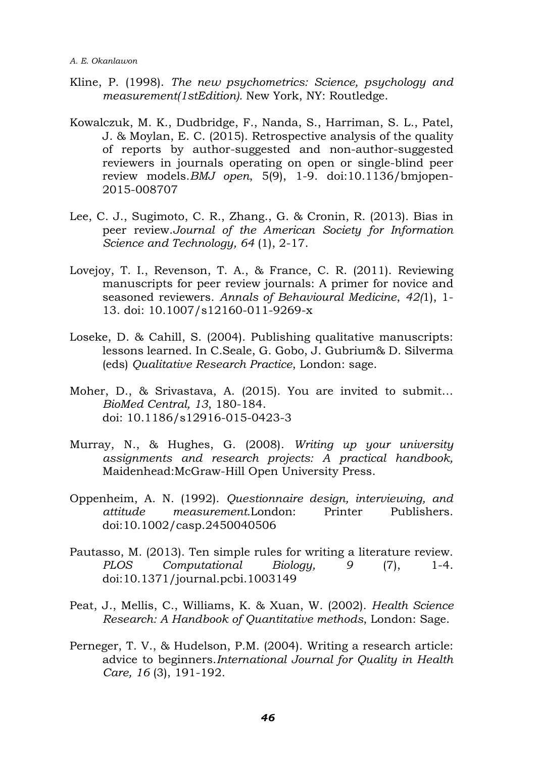- Kline, P. (1998). *The new psychometrics: Science, psychology and measurement(1stEdition).* New York, NY: Routledge.
- Kowalczuk, M. K., Dudbridge, F., Nanda, S., Harriman, S. L., Patel, J. & Moylan, E. C. (2015). Retrospective analysis of the quality of reports by author-suggested and non-author-suggested reviewers in journals operating on open or single-blind peer review models.*BMJ open*, 5(9), 1-9. doi:10.1136/bmjopen-2015-008707
- Lee, C. J., Sugimoto, C. R., Zhang., G. & Cronin, R. (2013). Bias in peer review.*Journal of the American Society for Information Science and Technology, 64* (1), 2-17.
- Lovejoy, T. I., Revenson, T. A., & France, C. R. (2011). Reviewing manuscripts for peer review journals: A primer for novice and seasoned reviewers. *Annals of Behavioural Medicine*, *42(*1), 1- 13. doi: 10.1007/s12160-011-9269-x
- Loseke, D. & Cahill, S. (2004). Publishing qualitative manuscripts: lessons learned. In C.Seale, G. Gobo, J. Gubrium& D. Silverma (eds) *Qualitative Research Practice*, London: sage.
- Moher, D., & Srivastava, A. (2015). You are invited to submit… *BioMed Central, 13*, 180-184. doi: 10.1186/s12916-015-0423-3
- Murray, N., & Hughes, G. (2008). *Writing up your university assignments and research projects: A practical handbook,*  Maidenhead:McGraw-Hill Open University Press.
- Oppenheim, A. N. (1992). *Questionnaire design, interviewing, and attitude measurement.*London: Printer Publishers. doi:10.1002/casp.2450040506
- Pautasso, M. (2013). Ten simple rules for writing a literature review. *PLOS Computational Biology, 9* (7), 1-4. doi:10.1371/journal.pcbi.1003149
- Peat, J., Mellis, C., Williams, K. & Xuan, W. (2002). *Health Science Research: A Handbook of Quantitative methods*, London: Sage.
- Perneger, T. V., & Hudelson, P.M. (2004). Writing a research article: advice to beginners.*International Journal for Quality in Health Care, 16* (3), 191-192.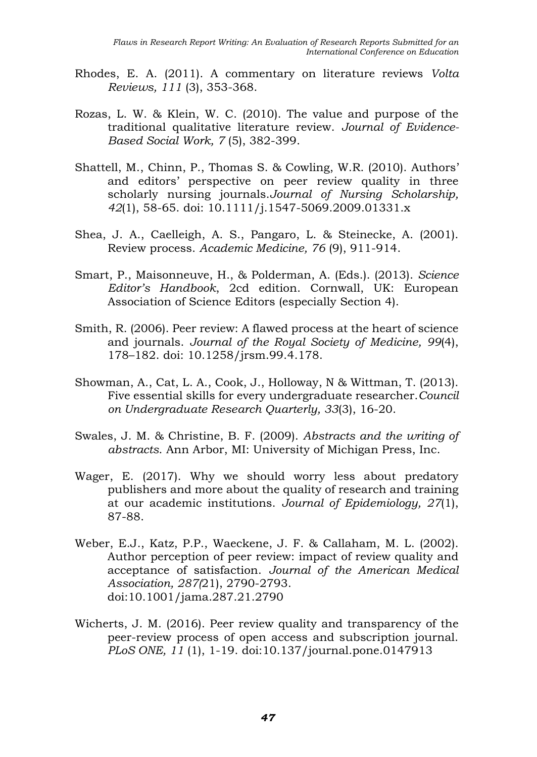- Rhodes, E. A. (2011). A commentary on literature reviews *Volta Reviews, 111* (3), 353-368.
- Rozas, L. W. & Klein, W. C. (2010). The value and purpose of the traditional qualitative literature review. *Journal of Evidence-Based Social Work, 7* (5), 382-399.
- Shattell, M., Chinn, P., Thomas S. & Cowling, W.R. (2010). Authors' and editors' perspective on peer review quality in three scholarly nursing journals.*Journal of Nursing Scholarship, 42*(1), 58-65. doi: 10.1111/j.1547-5069.2009.01331.x
- Shea, J. A., Caelleigh, A. S., Pangaro, L. & Steinecke, A. (2001). Review process. *Academic Medicine, 76* (9), 911-914.
- Smart, P., Maisonneuve, H., & Polderman, A. (Eds.). (2013). *Science Editor's Handbook*, 2cd edition. Cornwall, UK: European Association of Science Editors (especially Section 4).
- Smith, R. (2006). Peer review: A flawed process at the heart of science and journals. *Journal of the Royal Society of Medicine, 99*(4), 178–182. doi: 10.1258/jrsm.99.4.178.
- Showman, A., Cat, L. A., Cook, J., Holloway, N & Wittman, T. (2013). Five essential skills for every undergraduate researcher.*Council on Undergraduate Research Quarterly, 33*(3), 16-20.
- Swales, J. M. & Christine, B. F. (2009). *Abstracts and the writing of abstracts*. Ann Arbor, MI: University of Michigan Press, Inc.
- Wager, E. (2017). Why we should worry less about predatory publishers and more about the quality of research and training at our academic institutions. *Journal of Epidemiology, 27*(1), 87-88.
- Weber, E.J., Katz, P.P., Waeckene, J. F. & Callaham, M. L. (2002). Author perception of peer review: impact of review quality and acceptance of satisfaction. *Journal of the American Medical Association, 287(*21), 2790-2793. doi:10.1001/jama.287.21.2790
- Wicherts, J. M. (2016). Peer review quality and transparency of the peer-review process of open access and subscription journal. *PLoS ONE, 11* (1), 1-19. doi:10.137/journal.pone.0147913